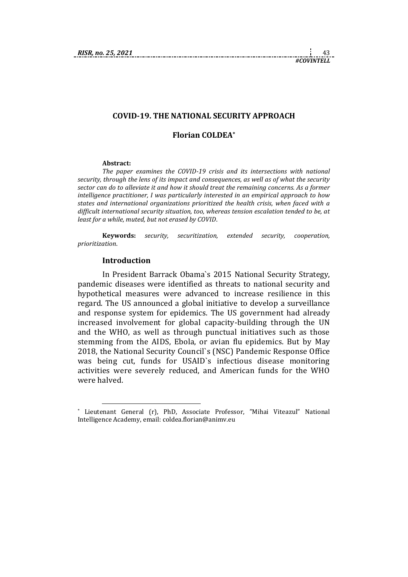## **COVID-19. THE NATIONAL SECURITY APPROACH**

# **Florian COLDEA\***

#### **Abstract:**

*The paper examines the COVID-19 crisis and its intersections with national security, through the lens of its impact and consequences, as well as of what the security sector can do to alleviate it and how it should treat the remaining concerns. As a former intelligence practitioner, I was particularly interested in an empirical approach to how states and international organizations prioritized the health crisis, when faced with a difficult international security situation, too, whereas tension escalation tended to be, at least for a while, muted, but not erased by COVID*.

**Keywords:** *security, securitization, extended security, cooperation, prioritization*.

## **Introduction**

1

In President Barrack Obama`s 2015 National Security Strategy, pandemic diseases were identified as threats to national security and hypothetical measures were advanced to increase resilience in this regard. The US announced a global initiative to develop a surveillance and response system for epidemics. The US government had already increased involvement for global capacity-building through the UN and the WHO, as well as through punctual initiatives such as those stemming from the AIDS, Ebola, or avian flu epidemics. But by May 2018, the National Security Council`s (NSC) Pandemic Response Office was being cut, funds for USAID`s infectious disease monitoring activities were severely reduced, and American funds for the WHO were halved.

<sup>\*</sup> Lieutenant General (r), PhD, Associate Professor, "Mihai Viteazul" National Intelligence Academy, email: [coldea.florian@animv.eu](mailto:coldea.florian@animv.eu)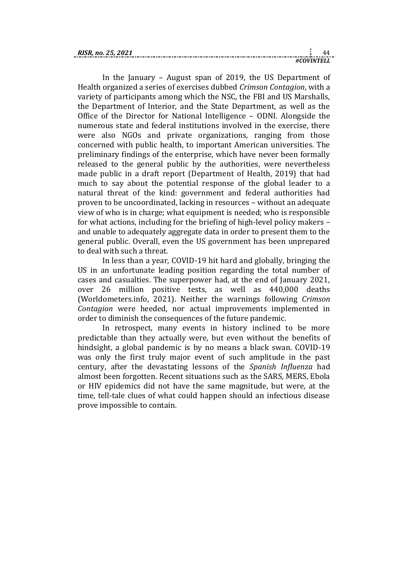| <b>RIS</b><br>`SR. no. 25. |  |
|----------------------------|--|
|                            |  |

In the January – August span of 2019, the US Department of Health organized a series of exercises dubbed *Crimson Contagion*, with a variety of participants among which the NSC, the FBI and US Marshalls, the Department of Interior, and the State Department, as well as the Office of the Director for National Intelligence – ODNI. Alongside the numerous state and federal institutions involved in the exercise, there were also NGOs and private organizations, ranging from those concerned with public health, to important American universities. The preliminary findings of the enterprise, which have never been formally released to the general public by the authorities, were nevertheless made public in a draft report (Department of Health, 2019) that had much to say about the potential response of the global leader to a natural threat of the kind: government and federal authorities had proven to be uncoordinated, lacking in resources – without an adequate view of who is in charge; what equipment is needed; who is responsible for what actions, including for the briefing of high-level policy makers – and unable to adequately aggregate data in order to present them to the general public. Overall, even the US government has been unprepared to deal with such a threat.

In less than a year, COVID-19 hit hard and globally, bringing the US in an unfortunate leading position regarding the total number of cases and casualties. The superpower had, at the end of January 2021, over 26 million positive tests, as well as 440,000 deaths (Worldometers.info, 2021). Neither the warnings following *Crimson Contagion* were heeded, nor actual improvements implemented in order to diminish the consequences of the future pandemic.

In retrospect, many events in history inclined to be more predictable than they actually were, but even without the benefits of hindsight, a global pandemic is by no means a black swan. COVID-19 was only the first truly major event of such amplitude in the past century, after the devastating lessons of the *Spanish Influenza* had almost been forgotten. Recent situations such as the SARS, MERS, Ebola or HIV epidemics did not have the same magnitude, but were, at the time, tell-tale clues of what could happen should an infectious disease prove impossible to contain.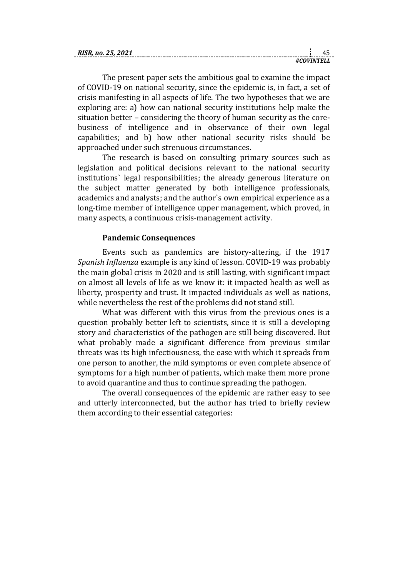| RISR. no. 25. 2021 |  |
|--------------------|--|
|                    |  |

The present paper sets the ambitious goal to examine the impact of COVID-19 on national security, since the epidemic is, in fact, a set of crisis manifesting in all aspects of life. The two hypotheses that we are exploring are: a) how can national security institutions help make the situation better – considering the theory of human security as the corebusiness of intelligence and in observance of their own legal capabilities; and b) how other national security risks should be approached under such strenuous circumstances.

The research is based on consulting primary sources such as legislation and political decisions relevant to the national security institutions` legal responsibilities; the already generous literature on the subject matter generated by both intelligence professionals, academics and analysts; and the author`s own empirical experience as a long-time member of intelligence upper management, which proved, in many aspects, a continuous crisis-management activity.

# **Pandemic Consequences**

Events such as pandemics are history-altering, if the 1917 *Spanish Influenza* example is any kind of lesson. COVID-19 was probably the main global crisis in 2020 and is still lasting, with significant impact on almost all levels of life as we know it: it impacted health as well as liberty, prosperity and trust. It impacted individuals as well as nations, while nevertheless the rest of the problems did not stand still.

What was different with this virus from the previous ones is a question probably better left to scientists, since it is still a developing story and characteristics of the pathogen are still being discovered. But what probably made a significant difference from previous similar threats was its high infectiousness, the ease with which it spreads from one person to another, the mild symptoms or even complete absence of symptoms for a high number of patients, which make them more prone to avoid quarantine and thus to continue spreading the pathogen.

The overall consequences of the epidemic are rather easy to see and utterly interconnected, but the author has tried to briefly review them according to their essential categories: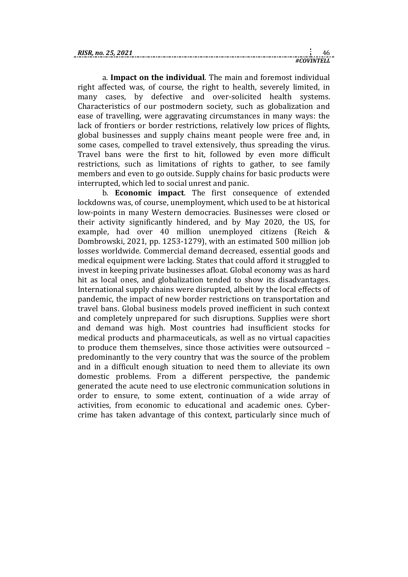| RISR<br>2. no. 25. 2021 |  |  |
|-------------------------|--|--|
|                         |  |  |

a. **Impact on the individual**. The main and foremost individual right affected was, of course, the right to health, severely limited, in many cases, by defective and over-solicited health systems. Characteristics of our postmodern society, such as globalization and ease of travelling, were aggravating circumstances in many ways: the lack of frontiers or border restrictions, relatively low prices of flights, global businesses and supply chains meant people were free and, in some cases, compelled to travel extensively, thus spreading the virus. Travel bans were the first to hit, followed by even more difficult restrictions, such as limitations of rights to gather, to see family members and even to go outside. Supply chains for basic products were interrupted, which led to social unrest and panic.

b. **Economic impact**. The first consequence of extended lockdowns was, of course, unemployment, which used to be at historical low-points in many Western democracies. Businesses were closed or their activity significantly hindered, and by May 2020, the US, for example, had over 40 million unemployed citizens (Reich & Dombrowski, 2021, pp. 1253-1279), with an estimated 500 million job losses worldwide. Commercial demand decreased, essential goods and medical equipment were lacking. States that could afford it struggled to invest in keeping private businesses afloat. Global economy was as hard hit as local ones, and globalization tended to show its disadvantages. International supply chains were disrupted, albeit by the local effects of pandemic, the impact of new border restrictions on transportation and travel bans. Global business models proved inefficient in such context and completely unprepared for such disruptions. Supplies were short and demand was high. Most countries had insufficient stocks for medical products and pharmaceuticals, as well as no virtual capacities to produce them themselves, since those activities were outsourced – predominantly to the very country that was the source of the problem and in a difficult enough situation to need them to alleviate its own domestic problems. From a different perspective, the pandemic generated the acute need to use electronic communication solutions in order to ensure, to some extent, continuation of a wide array of activities, from economic to educational and academic ones. Cybercrime has taken advantage of this context, particularly since much of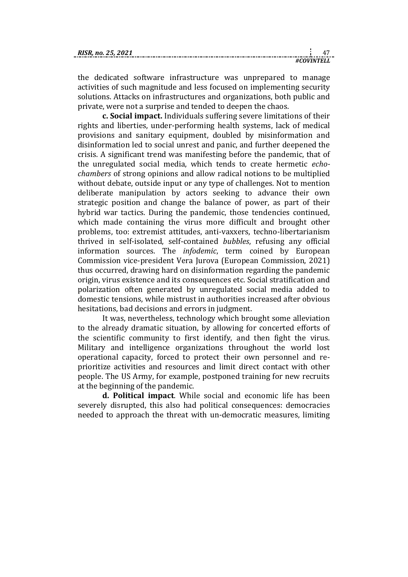| <b>RISR</b><br>no.<br>Z5. |  |
|---------------------------|--|
|                           |  |

the dedicated software infrastructure was unprepared to manage activities of such magnitude and less focused on implementing security solutions. Attacks on infrastructures and organizations, both public and private, were not a surprise and tended to deepen the chaos.

**c. Social impact.** Individuals suffering severe limitations of their rights and liberties, under-performing health systems, lack of medical provisions and sanitary equipment, doubled by misinformation and disinformation led to social unrest and panic, and further deepened the crisis. A significant trend was manifesting before the pandemic, that of the unregulated social media, which tends to create hermetic *echochambers* of strong opinions and allow radical notions to be multiplied without debate, outside input or any type of challenges. Not to mention deliberate manipulation by actors seeking to advance their own strategic position and change the balance of power, as part of their hybrid war tactics. During the pandemic, those tendencies continued, which made containing the virus more difficult and brought other problems, too: extremist attitudes, anti-vaxxers, techno-libertarianism thrived in self-isolated, self-contained *bubbles*, refusing any official information sources. The *infodemic*, term coined by European Commission vice-president Vera Jurova (European Commission, 2021) thus occurred, drawing hard on disinformation regarding the pandemic origin, virus existence and its consequences etc. Social stratification and polarization often generated by unregulated social media added to domestic tensions, while mistrust in authorities increased after obvious hesitations, bad decisions and errors in judgment.

It was, nevertheless, technology which brought some alleviation to the already dramatic situation, by allowing for concerted efforts of the scientific community to first identify, and then fight the virus. Military and intelligence organizations throughout the world lost operational capacity, forced to protect their own personnel and reprioritize activities and resources and limit direct contact with other people. The US Army, for example, postponed training for new recruits at the beginning of the pandemic.

**d. Political impact**. While social and economic life has been severely disrupted, this also had political consequences: democracies needed to approach the threat with un-democratic measures, limiting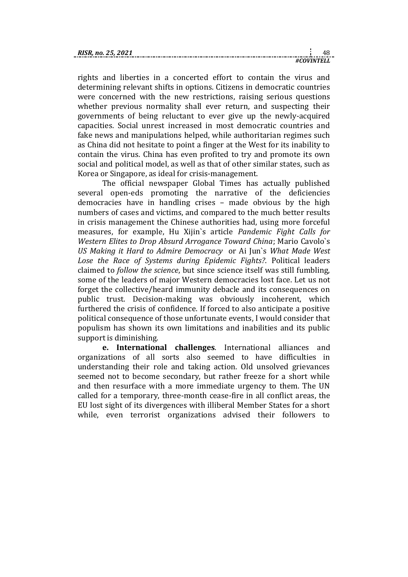| RISR |  |
|------|--|
|      |  |

rights and liberties in a concerted effort to contain the virus and determining relevant shifts in options. Citizens in democratic countries were concerned with the new restrictions, raising serious questions whether previous normality shall ever return, and suspecting their governments of being reluctant to ever give up the newly-acquired capacities. Social unrest increased in most democratic countries and fake news and manipulations helped, while authoritarian regimes such as China did not hesitate to point a finger at the West for its inability to contain the virus. China has even profited to try and promote its own social and political model, as well as that of other similar states, such as Korea or Singapore, as ideal for crisis-management.

The official newspaper Global Times has actually published several open-eds promoting the narrative of the deficiencies democracies have in handling crises – made obvious by the high numbers of cases and victims, and compared to the much better results in crisis management the Chinese authorities had, using more forceful measures, for example, Hu Xijin`s article *Pandemic Fight Calls for Western Elites to Drop Absurd Arrogance Toward China*; Mario Cavolo`s *US Making it Hard to Admire Democracy* or Ai Jun`s *What Made West Lose the Race of Systems during Epidemic Fights?*. Political leaders claimed to *follow the science*, but since science itself was still fumbling, some of the leaders of major Western democracies lost face. Let us not forget the collective/heard immunity debacle and its consequences on public trust. Decision-making was obviously incoherent, which furthered the crisis of confidence. If forced to also anticipate a positive political consequence of those unfortunate events, I would consider that populism has shown its own limitations and inabilities and its public support is diminishing.

**e. International challenges**. International alliances and organizations of all sorts also seemed to have difficulties in understanding their role and taking action. Old unsolved grievances seemed not to become secondary, but rather freeze for a short while and then resurface with a more immediate urgency to them. The UN called for a temporary, three-month cease-fire in all conflict areas, the EU lost sight of its divergences with illiberal Member States for a short while, even terrorist organizations advised their followers to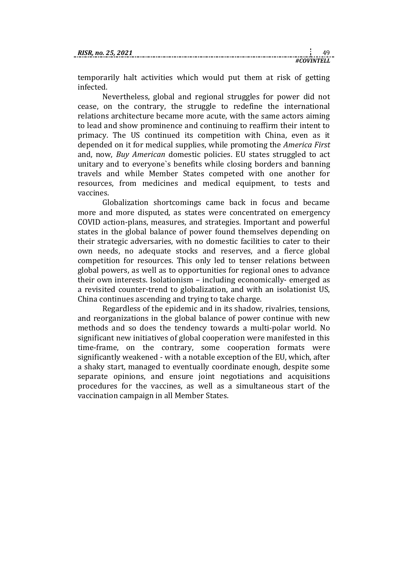temporarily halt activities which would put them at risk of getting infected.

Nevertheless, global and regional struggles for power did not cease, on the contrary, the struggle to redefine the international relations architecture became more acute, with the same actors aiming to lead and show prominence and continuing to reaffirm their intent to primacy. The US continued its competition with China, even as it depended on it for medical supplies, while promoting the *America First* and, now, *Buy American* domestic policies. EU states struggled to act unitary and to everyone`s benefits while closing borders and banning travels and while Member States competed with one another for resources, from medicines and medical equipment, to tests and vaccines.

Globalization shortcomings came back in focus and became more and more disputed, as states were concentrated on emergency COVID action-plans, measures, and strategies. Important and powerful states in the global balance of power found themselves depending on their strategic adversaries, with no domestic facilities to cater to their own needs, no adequate stocks and reserves, and a fierce global competition for resources. This only led to tenser relations between global powers, as well as to opportunities for regional ones to advance their own interests. Isolationism – including economically- emerged as a revisited counter-trend to globalization, and with an isolationist US, China continues ascending and trying to take charge.

Regardless of the epidemic and in its shadow, rivalries, tensions, and reorganizations in the global balance of power continue with new methods and so does the tendency towards a multi-polar world. No significant new initiatives of global cooperation were manifested in this time-frame, on the contrary, some cooperation formats were significantly weakened - with a notable exception of the EU, which, after a shaky start, managed to eventually coordinate enough, despite some separate opinions, and ensure joint negotiations and acquisitions procedures for the vaccines, as well as a simultaneous start of the vaccination campaign in all Member States.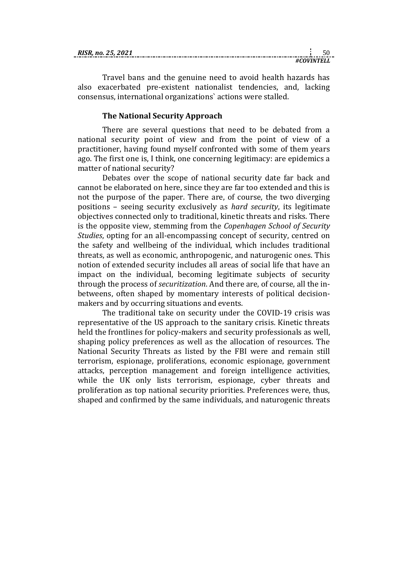| RISR. no. 25, 2021 |  |  |
|--------------------|--|--|
|                    |  |  |

*#COVINTELL*

Travel bans and the genuine need to avoid health hazards has also exacerbated pre-existent nationalist tendencies, and, lacking consensus, international organizations` actions were stalled.

# **The National Security Approach**

There are several questions that need to be debated from a national security point of view and from the point of view of a practitioner, having found myself confronted with some of them years ago. The first one is, I think, one concerning legitimacy: are epidemics a matter of national security?

Debates over the scope of national security date far back and cannot be elaborated on here, since they are far too extended and this is not the purpose of the paper. There are, of course, the two diverging positions – seeing security exclusively as *hard security*, its legitimate objectives connected only to traditional, kinetic threats and risks. There is the opposite view, stemming from the *Copenhagen School of Security Studies*, opting for an all-encompassing concept of security, centred on the safety and wellbeing of the individual, which includes traditional threats, as well as economic, anthropogenic, and naturogenic ones. This notion of extended security includes all areas of social life that have an impact on the individual, becoming legitimate subjects of security through the process of *securitization*. And there are, of course, all the inbetweens, often shaped by momentary interests of political decisionmakers and by occurring situations and events.

The traditional take on security under the COVID-19 crisis was representative of the US approach to the sanitary crisis. Kinetic threats held the frontlines for policy-makers and security professionals as well, shaping policy preferences as well as the allocation of resources. The National Security Threats as listed by the FBI were and remain still terrorism, espionage, proliferations, economic espionage, government attacks, perception management and foreign intelligence activities, while the UK only lists terrorism, espionage, cyber threats and proliferation as top national security priorities. Preferences were, thus, shaped and confirmed by the same individuals, and naturogenic threats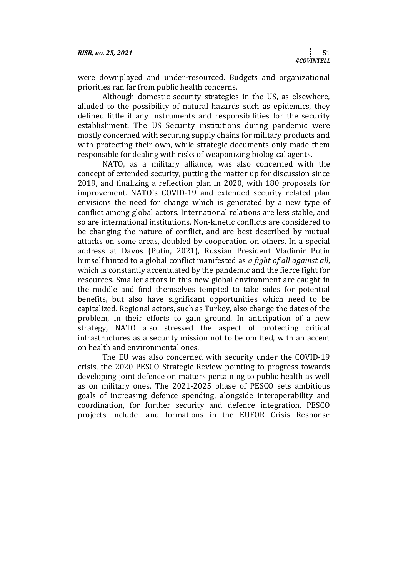were downplayed and under-resourced. Budgets and organizational priorities ran far from public health concerns.

Although domestic security strategies in the US, as elsewhere, alluded to the possibility of natural hazards such as epidemics, they defined little if any instruments and responsibilities for the security establishment. The US Security institutions during pandemic were mostly concerned with securing supply chains for military products and with protecting their own, while strategic documents only made them responsible for dealing with risks of weaponizing biological agents.

NATO, as a military alliance, was also concerned with the concept of extended security, putting the matter up for discussion since 2019, and finalizing a reflection plan in 2020, with 180 proposals for improvement. NATO`s COVID-19 and extended security related plan envisions the need for change which is generated by a new type of conflict among global actors. International relations are less stable, and so are international institutions. Non-kinetic conflicts are considered to be changing the nature of conflict, and are best described by mutual attacks on some areas, doubled by cooperation on others. In a special address at Davos (Putin, 2021), Russian President Vladimir Putin himself hinted to a global conflict manifested as *a fight of all against all*, which is constantly accentuated by the pandemic and the fierce fight for resources. Smaller actors in this new global environment are caught in the middle and find themselves tempted to take sides for potential benefits, but also have significant opportunities which need to be capitalized. Regional actors, such as Turkey, also change the dates of the problem, in their efforts to gain ground. In anticipation of a new strategy, NATO also stressed the aspect of protecting critical infrastructures as a security mission not to be omitted, with an accent on health and environmental ones.

The EU was also concerned with security under the COVID-19 crisis, the 2020 PESCO Strategic Review pointing to progress towards developing joint defence on matters pertaining to public health as well as on military ones. The 2021-2025 phase of PESCO sets ambitious goals of increasing defence spending, alongside interoperability and coordination, for further security and defence integration. PESCO projects include land formations in the EUFOR Crisis Response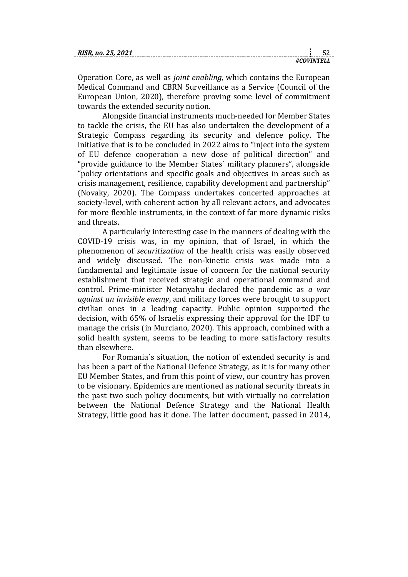| RISR. no. 25, 2021 |  |  |
|--------------------|--|--|
|                    |  |  |

Operation Core, as well as *joint enabling*, which contains the European Medical Command and CBRN Surveillance as a Service (Council of the European Union, 2020), therefore proving some level of commitment towards the extended security notion.

Alongside financial instruments much-needed for Member States to tackle the crisis, the EU has also undertaken the development of a Strategic Compass regarding its security and defence policy. The initiative that is to be concluded in 2022 aims to "inject into the system of EU defence cooperation a new dose of political direction" and "provide guidance to the Member States` military planners", alongside "policy orientations and specific goals and objectives in areas such as crisis management, resilience, capability development and partnership" (Novaky, 2020). The Compass undertakes concerted approaches at society-level, with coherent action by all relevant actors, and advocates for more flexible instruments, in the context of far more dynamic risks and threats.

A particularly interesting case in the manners of dealing with the COVID-19 crisis was, in my opinion, that of Israel, in which the phenomenon of *securitization* of the health crisis was easily observed and widely discussed. The non-kinetic crisis was made into a fundamental and legitimate issue of concern for the national security establishment that received strategic and operational command and control. Prime-minister Netanyahu declared the pandemic as *a war against an invisible enemy*, and military forces were brought to support civilian ones in a leading capacity. Public opinion supported the decision, with 65% of Israelis expressing their approval for the IDF to manage the crisis (in Murciano, 2020). This approach, combined with a solid health system, seems to be leading to more satisfactory results than elsewhere.

For Romania`s situation, the notion of extended security is and has been a part of the National Defence Strategy, as it is for many other EU Member States, and from this point of view, our country has proven to be visionary. Epidemics are mentioned as national security threats in the past two such policy documents, but with virtually no correlation between the National Defence Strategy and the National Health Strategy, little good has it done. The latter document, passed in 2014,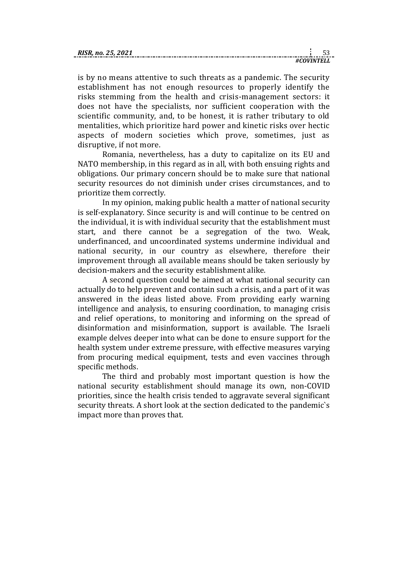| RISR<br>no. |  |
|-------------|--|
|             |  |

is by no means attentive to such threats as a pandemic. The security establishment has not enough resources to properly identify the risks stemming from the health and crisis-management sectors: it does not have the specialists, nor sufficient cooperation with the scientific community, and, to be honest, it is rather tributary to old mentalities, which prioritize hard power and kinetic risks over hectic aspects of modern societies which prove, sometimes, just as disruptive, if not more.

Romania, nevertheless, has a duty to capitalize on its EU and NATO membership, in this regard as in all, with both ensuing rights and obligations. Our primary concern should be to make sure that national security resources do not diminish under crises circumstances, and to prioritize them correctly.

In my opinion, making public health a matter of national security is self-explanatory. Since security is and will continue to be centred on the individual, it is with individual security that the establishment must start, and there cannot be a segregation of the two. Weak, underfinanced, and uncoordinated systems undermine individual and national security, in our country as elsewhere, therefore their improvement through all available means should be taken seriously by decision-makers and the security establishment alike.

A second question could be aimed at what national security can actually do to help prevent and contain such a crisis, and a part of it was answered in the ideas listed above. From providing early warning intelligence and analysis, to ensuring coordination, to managing crisis and relief operations, to monitoring and informing on the spread of disinformation and misinformation, support is available. The Israeli example delves deeper into what can be done to ensure support for the health system under extreme pressure, with effective measures varying from procuring medical equipment, tests and even vaccines through specific methods.

The third and probably most important question is how the national security establishment should manage its own, non-COVID priorities, since the health crisis tended to aggravate several significant security threats. A short look at the section dedicated to the pandemic`s impact more than proves that.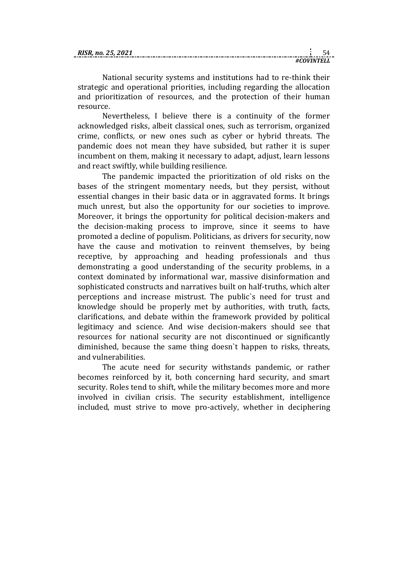| RIJK. 110. ZJ. |  |
|----------------|--|
|                |  |

National security systems and institutions had to re-think their strategic and operational priorities, including regarding the allocation and prioritization of resources, and the protection of their human resource.

Nevertheless, I believe there is a continuity of the former acknowledged risks, albeit classical ones, such as terrorism, organized crime, conflicts, or new ones such as cyber or hybrid threats. The pandemic does not mean they have subsided, but rather it is super incumbent on them, making it necessary to adapt, adjust, learn lessons and react swiftly, while building resilience.

The pandemic impacted the prioritization of old risks on the bases of the stringent momentary needs, but they persist, without essential changes in their basic data or in aggravated forms. It brings much unrest, but also the opportunity for our societies to improve. Moreover, it brings the opportunity for political decision-makers and the decision-making process to improve, since it seems to have promoted a decline of populism. Politicians, as drivers for security, now have the cause and motivation to reinvent themselves, by being receptive, by approaching and heading professionals and thus demonstrating a good understanding of the security problems, in a context dominated by informational war, massive disinformation and sophisticated constructs and narratives built on half-truths, which alter perceptions and increase mistrust. The public`s need for trust and knowledge should be properly met by authorities, with truth, facts, clarifications, and debate within the framework provided by political legitimacy and science. And wise decision-makers should see that resources for national security are not discontinued or significantly diminished, because the same thing doesn`t happen to risks, threats, and vulnerabilities.

The acute need for security withstands pandemic, or rather becomes reinforced by it, both concerning hard security, and smart security. Roles tend to shift, while the military becomes more and more involved in civilian crisis. The security establishment, intelligence included, must strive to move pro-actively, whether in deciphering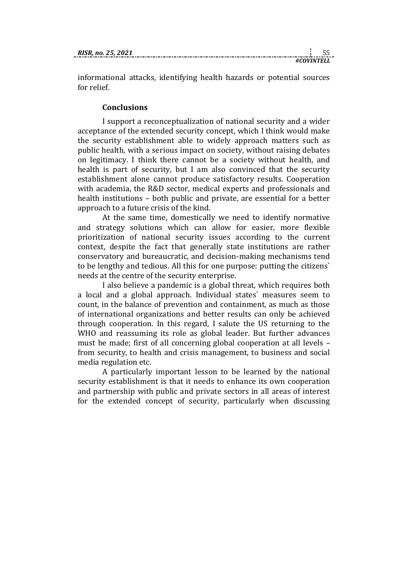*#COVINTELL*

informational attacks, identifying health hazards or potential sources for relief.

## **Conclusions**

I support a reconceptualization of national security and a wider acceptance of the extended security concept, which I think would make the security establishment able to widely approach matters such as public health, with a serious impact on society, without raising debates on legitimacy. I think there cannot be a society without health, and health is part of security, but I am also convinced that the security establishment alone cannot produce satisfactory results. Cooperation with academia, the R&D sector, medical experts and professionals and health institutions – both public and private, are essential for a better approach to a future crisis of the kind.

At the same time, domestically we need to identify normative and strategy solutions which can allow for easier, more flexible prioritization of national security issues according to the current context, despite the fact that generally state institutions are rather conservatory and bureaucratic, and decision-making mechanisms tend to be lengthy and tedious. All this for one purpose: putting the citizens` needs at the centre of the security enterprise.

I also believe a pandemic is a global threat, which requires both a local and a global approach. Individual states` measures seem to count, in the balance of prevention and containment, as much as those of international organizations and better results can only be achieved through cooperation. In this regard, I salute the US returning to the WHO and reassuming its role as global leader. But further advances must be made; first of all concerning global cooperation at all levels – from security, to health and crisis management, to business and social media regulation etc.

A particularly important lesson to be learned by the national security establishment is that it needs to enhance its own cooperation and partnership with public and private sectors in all areas of interest for the extended concept of security, particularly when discussing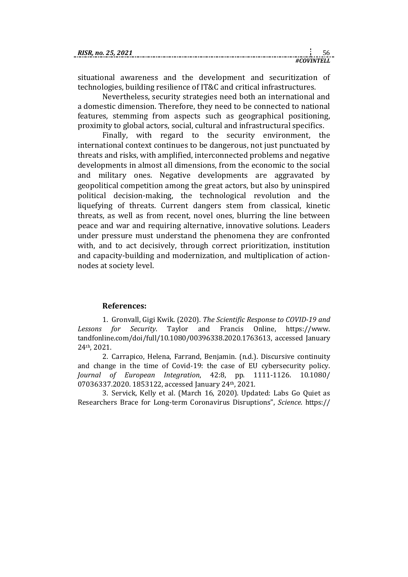| RISR |  |
|------|--|
|      |  |

situational awareness and the development and securitization of technologies, building resilience of IT&C and critical infrastructures.

Nevertheless, security strategies need both an international and a domestic dimension. Therefore, they need to be connected to national features, stemming from aspects such as geographical positioning, proximity to global actors, social, cultural and infrastructural specifics.

Finally, with regard to the security environment, the international context continues to be dangerous, not just punctuated by threats and risks, with amplified, interconnected problems and negative developments in almost all dimensions, from the economic to the social and military ones. Negative developments are aggravated by geopolitical competition among the great actors, but also by uninspired political decision-making, the technological revolution and the liquefying of threats. Current dangers stem from classical, kinetic threats, as well as from recent, novel ones, blurring the line between peace and war and requiring alternative, innovative solutions. Leaders under pressure must understand the phenomena they are confronted with, and to act decisively, through correct prioritization, institution and capacity-building and modernization, and multiplication of actionnodes at society level.

## **References:**

1. Gronvall, Gigi Kwik. (2020). *The Scientific Response to COVID-19 and Lessons for Security*. Taylor and Francis Online, [https://www.](https://www.tandfonline.com/doi/full/10.1080/00396338.2020.1763613) [tandfonline.com/doi/full/10.1080/00396338.2020.1763613,](https://www.tandfonline.com/doi/full/10.1080/00396338.2020.1763613) accessed January 24th, 2021.

2. Carrapico, Helena, Farrand, Benjamin. (n.d.). Discursive continuity and change in the time of Covid-19: the case of EU cybersecurity policy. *Journal of European Integration*, 42:8, pp. 1111-1126. [10.1080/](file:///C:/Users/a790057.SRIDC/AppData/Local/Temp/IKS2021.docx) [07036337.2020.](file:///C:/Users/a790057.SRIDC/AppData/Local/Temp/IKS2021.docx) 1853122, accessed January 24th, 2021.

3. Servick, Kelly et al. (March 16, 2020). Updated: Labs Go Quiet as Researchers Brace for Long-term Coronavirus Disruptions", *Science*. [https://](https://www.sciencemag.org/news/2020/03/updated-labs-go-quiet-researchers-brace-long-term-coronavirus-disruptions)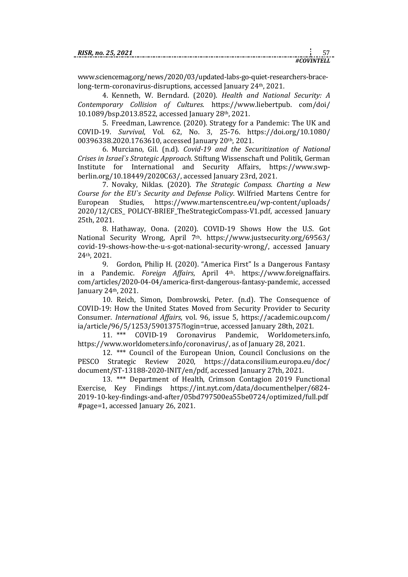www.sciencemag.org/news/2020/03/updated-labs-go-quiet-researchers-bracelong-term-coronavirus-disruptions, accessed January 24th, 2021.

4. Kenneth, W. Berndard. (2020). *Health and National Security: A Contemporary Collision of Cultures*. [https://www.liebertpub.](https://www.liebertpub.com/doi/10.1089/bsp.2013.8522) com/doi/ [10.1089/bsp.2013.8522,](https://www.liebertpub.com/doi/10.1089/bsp.2013.8522) accessed January 28th, 2021.

5. Freedman, Lawrence. (2020). Strategy for a Pandemic: The UK and COVID-19. *Survival*, Vol. 62, No. 3, 25-76. [https://doi.org/10.1080/](https://doi.org/10.1080/00396338.2020.1763610) [00396338.2020.1763610,](https://doi.org/10.1080/00396338.2020.1763610) accessed January 20th, 2021.

6. Murciano, Gil. (n.d). *Covid-19 and the Securitization of National Crises in Israel`s Strategic Approach*. Stiftung Wissenschaft und Politik, German Institute for International and Security Affairs, [https://www.swp](https://www.swp-berlin.org/10.18449/2020C63/)[berlin.org/10.18449/2020C63/,](https://www.swp-berlin.org/10.18449/2020C63/) accessed January 23rd, 2021.

7. Novaky, Niklas. (2020). *The Strategic Compass. Charting a New Course for the EU`s Security and Defense Policy*. Wilfried Martens Centre for European Studies, [https://www.martenscentre.eu/wp-content/uploads/](https://www.martenscentre.eu/wp-content/uploads/2020/12/CES_POLICY-BRIEF_TheStrategicCompass-V1.pdf) 2020/12/CES\_ [POLICY-BRIEF\\_TheStrategicCompass-V1.pdf,](https://www.martenscentre.eu/wp-content/uploads/2020/12/CES_POLICY-BRIEF_TheStrategicCompass-V1.pdf) accessed January 25th, 2021.

8. Hathaway, Oona. (2020). COVID-19 Shows How the U.S. Got National Security Wrong, April 7<sup>th</sup>. [https://www.justsecurity.org/69563/](https://www.justsecurity.org/69563/covid-19-shows-how-the-u-s-got-national-security-wrong/) [covid-19-shows-how-the-u-s-got-national-security-wrong/,](https://www.justsecurity.org/69563/covid-19-shows-how-the-u-s-got-national-security-wrong/) accessed January 24th, 2021.

9. Gordon, Philip H. (2020). "America First" Is a Dangerous Fantasy in a Pandemic. *Foreign Affairs*, April 4th. [https://www.foreignaffairs.](https://www.foreignaffairs.com/articles/2020-04-04/america-first-dangerous-fantasy-pandemic) [com/articles/2020-04-04/america-first-dangerous-fantasy-pandemic,](https://www.foreignaffairs.com/articles/2020-04-04/america-first-dangerous-fantasy-pandemic) accessed January 24th, 2021.

10. Reich, Simon, Dombrowski, Peter. (n.d). The Consequence of COVID-19: How the United States Moved from Security Provider to Security Consumer. *International Affairs*, vol. 96, issue 5, [https://academic.oup.com/](https://academic.oup.com/ia/article/96/5/1253/5901375?login=true) [ia/article/96/5/1253/5901375?login=true,](https://academic.oup.com/ia/article/96/5/1253/5901375?login=true) accessed January 28th, 2021.

11. \*\*\* COVID-19 Coronavirus Pandemic, Worldometers.info, [https://www.worldometers.info/coronavirus/,](https://www.worldometers.info/coronavirus/) as of January 28, 2021.

12. \*\*\* Council of the European Union, Council Conclusions on the PESCO Strategic Review 2020, [https://data.consilium.europa.eu/doc/](https://data.consilium.europa.eu/doc/document/ST-13188-2020-INIT/en/pdf) [document/ST-13188-2020-INIT/en/pdf,](https://data.consilium.europa.eu/doc/document/ST-13188-2020-INIT/en/pdf) accessed January 27th, 2021.

13. \*\*\* Department of Health, Crimson Contagion 2019 Functional Exercise, Key Findings [https://int.nyt.com/data/documenthelper/6824-](https://int.nyt.com/data/documenthelper/6824-2019-10-key-findings-and-after/05bd797500ea55be0724/optimized/full.pdf#page=1) [2019-10-key-findings-and-after/05bd797500ea55be0724/optimized/full.pdf](https://int.nyt.com/data/documenthelper/6824-2019-10-key-findings-and-after/05bd797500ea55be0724/optimized/full.pdf#page=1) [#page=1,](https://int.nyt.com/data/documenthelper/6824-2019-10-key-findings-and-after/05bd797500ea55be0724/optimized/full.pdf#page=1) accessed January 26, 2021.